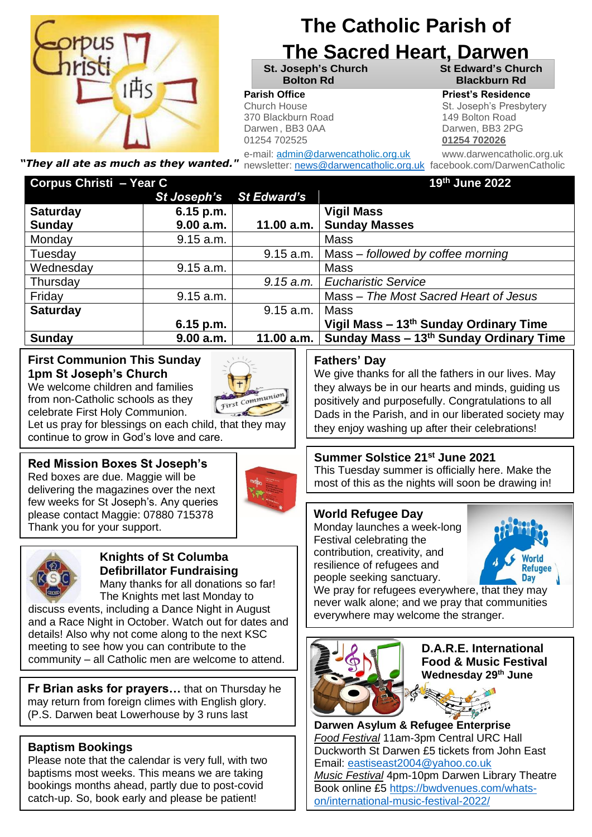

# **The Catholic Parish of**

# **The Sacred Heart, Darwen**

370 Blackburn Road 149 Bolton Road Darwen, BB3 0AA Darwen, BB3 2PG 01254 702525 **01254 702026**

**St. Joseph's Church St Edward's Church Bolton Rd Blackburn Rd**

#### **Parish Office Parish Office Priest's Residence**

**Parish Priest Franch House St. Joseph's Presbytery** 

*"They all ate as much as they wanted."* newsletter: [news@darwencatholic.org.uk](mailto:news@darwencatholic.org.uk) facebook.com/DarwenCatholic

e-mail: admin@darwencatholic.org.uk www.darwencatholic.org.uk

| Corpus Christi - Year C |             |                    | 19th June 2022                                     |
|-------------------------|-------------|--------------------|----------------------------------------------------|
|                         | St Joseph's | <b>St Edward's</b> |                                                    |
| <b>Saturday</b>         | $6.15$ p.m. |                    | <b>Vigil Mass</b>                                  |
| <b>Sunday</b>           | 9.00 a.m.   | 11.00 a.m.         | <b>Sunday Masses</b>                               |
| Monday                  | 9.15 a.m.   |                    | <b>Mass</b>                                        |
| Tuesday                 |             | 9.15 a.m.          | Mass – followed by coffee morning                  |
| Wednesday               | 9.15 a.m.   |                    | <b>Mass</b>                                        |
| Thursday                |             | 9.15 a.m.          | <b>Eucharistic Service</b>                         |
| Friday                  | 9.15 a.m.   |                    | Mass - The Most Sacred Heart of Jesus              |
| <b>Saturday</b>         |             | 9.15 a.m.          | <b>Mass</b>                                        |
|                         | $6.15$ p.m. |                    | Vigil Mass - 13 <sup>th</sup> Sunday Ordinary Time |
| <b>Sunday</b>           | 9.00 a.m.   | 11.00 $a.m.$       | Sunday Mass - 13th Sunday Ordinary Time            |

#### **First Communion This Sunday 1pm St Joseph's Church**

We welcome children and families from non-Catholic schools as they celebrate First Holy Communion.



Let us pray for blessings on each child, that they may continue to grow in God's love and care.

#### **Red Mission Boxes St Joseph's**

Red boxes are due. Maggie will be delivering the magazines over the next few weeks for St Joseph's. Any queries please contact Maggie: 07880 715378 Thank you for your support.





#### **Knights of St Columba Defibrillator Fundraising**

Many thanks for all donations so far! The Knights met last Monday to discuss events, including a Dance Night in August and a Race Night in October. Watch out for dates and

details! Also why not come along to the next KSC meeting to see how you can contribute to the community – all Catholic men are welcome to attend.

**Fr Brian asks for prayers…** that on Thursday he may return from foreign climes with English glory. (P.S. Darwen beat Lowerhouse by 3 runs last

#### **Baptism Bookings**

<u>Sunday (Sunday)</u>

Please note that the calendar is very full, with two baptisms most weeks. This means we are taking bookings months ahead, partly due to post-covid catch-up. So, book early and please be patient!

#### **Fathers' Day**

We give thanks for all the fathers in our lives. May they always be in our hearts and minds, guiding us positively and purposefully. Congratulations to all Dads in the Parish, and in our liberated society may they enjoy washing up after their celebrations!

#### **Summer Solstice 21st June 2021**

This Tuesday summer is officially here. Make the most of this as the nights will soon be drawing in!

#### **World Refugee Day**

Monday launches a week-long Festival celebrating the contribution, creativity, and resilience of refugees and people seeking sanctuary.



We pray for refugees everywhere, that they may never walk alone; and we pray that communities everywhere may welcome the stranger.



**D.A.R.E. International Food & Music Festival Wednesday 29th June**

**Darwen Asylum & Refugee Enterprise** *Food Festival* 11am-3pm Central URC Hall Duckworth St Darwen £5 tickets from John East Email: [eastiseast2004@yahoo.co.uk](mailto:eastiseast2004@yahoo.co.uk) *Music Festival* 4pm-10pm Darwen Library Theatre Book online £5 [https://bwdvenues.com/whats](https://bwdvenues.com/whats-on/international-music-festival-2022/)[on/international-music-festival-2022/](https://bwdvenues.com/whats-on/international-music-festival-2022/)